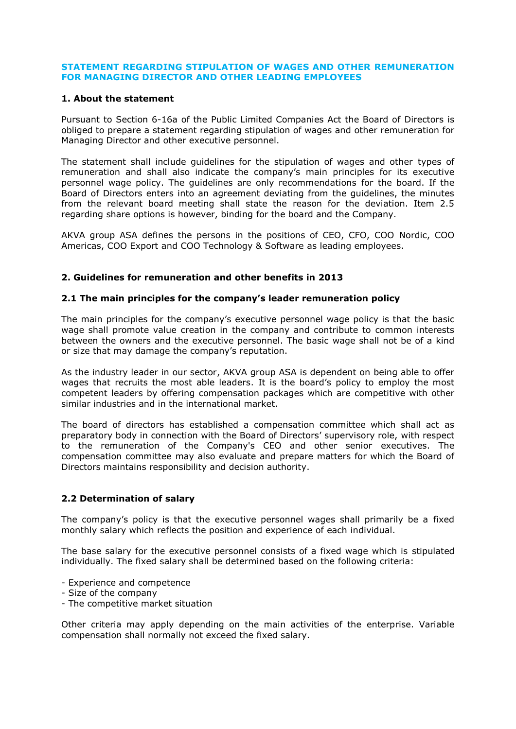### **STATEMENT REGARDING STIPULATION OF WAGES AND OTHER REMUNERATION FOR MANAGING DIRECTOR AND OTHER LEADING EMPLOYEES**

### **1. About the statement**

Pursuant to Section 6-16a of the Public Limited Companies Act the Board of Directors is obliged to prepare a statement regarding stipulation of wages and other remuneration for Managing Director and other executive personnel.

The statement shall include guidelines for the stipulation of wages and other types of remuneration and shall also indicate the company's main principles for its executive personnel wage policy. The guidelines are only recommendations for the board. If the Board of Directors enters into an agreement deviating from the guidelines, the minutes from the relevant board meeting shall state the reason for the deviation. Item 2.5 regarding share options is however, binding for the board and the Company.

AKVA group ASA defines the persons in the positions of CEO, CFO, COO Nordic, COO Americas, COO Export and COO Technology & Software as leading employees.

## **2. Guidelines for remuneration and other benefits in 2013**

### **2.1 The main principles for the company's leader remuneration policy**

The main principles for the company's executive personnel wage policy is that the basic wage shall promote value creation in the company and contribute to common interests between the owners and the executive personnel. The basic wage shall not be of a kind or size that may damage the company's reputation.

As the industry leader in our sector, AKVA group ASA is dependent on being able to offer wages that recruits the most able leaders. It is the board's policy to employ the most competent leaders by offering compensation packages which are competitive with other similar industries and in the international market.

The board of directors has established a compensation committee which shall act as preparatory body in connection with the Board of Directors' supervisory role, with respect to the remuneration of the Company's CEO and other senior executives. The compensation committee may also evaluate and prepare matters for which the Board of Directors maintains responsibility and decision authority.

## **2.2 Determination of salary**

The company's policy is that the executive personnel wages shall primarily be a fixed monthly salary which reflects the position and experience of each individual.

The base salary for the executive personnel consists of a fixed wage which is stipulated individually. The fixed salary shall be determined based on the following criteria:

- Experience and competence
- Size of the company
- The competitive market situation

Other criteria may apply depending on the main activities of the enterprise. Variable compensation shall normally not exceed the fixed salary.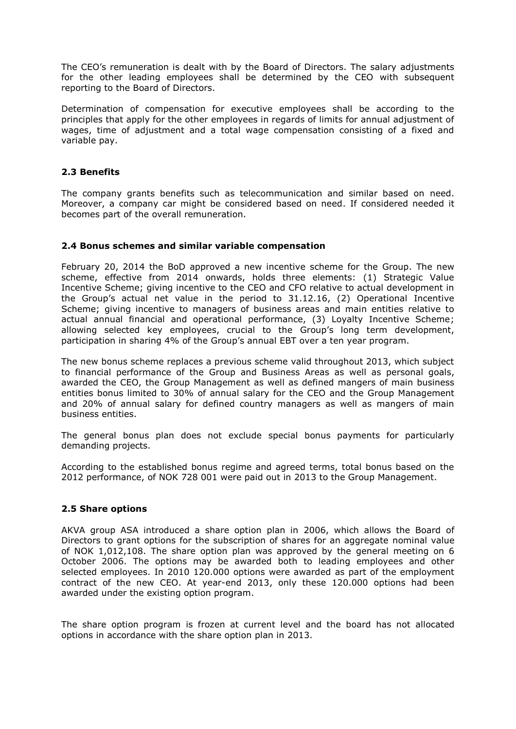The CEO's remuneration is dealt with by the Board of Directors. The salary adjustments for the other leading employees shall be determined by the CEO with subsequent reporting to the Board of Directors.

Determination of compensation for executive employees shall be according to the principles that apply for the other employees in regards of limits for annual adjustment of wages, time of adjustment and a total wage compensation consisting of a fixed and variable pay.

# **2.3 Benefits**

The company grants benefits such as telecommunication and similar based on need. Moreover, a company car might be considered based on need. If considered needed it becomes part of the overall remuneration.

## **2.4 Bonus schemes and similar variable compensation**

February 20, 2014 the BoD approved a new incentive scheme for the Group. The new scheme, effective from 2014 onwards, holds three elements: (1) Strategic Value Incentive Scheme; giving incentive to the CEO and CFO relative to actual development in the Group's actual net value in the period to 31.12.16, (2) Operational Incentive Scheme; giving incentive to managers of business areas and main entities relative to actual annual financial and operational performance, (3) Loyalty Incentive Scheme; allowing selected key employees, crucial to the Group's long term development, participation in sharing 4% of the Group's annual EBT over a ten year program.

The new bonus scheme replaces a previous scheme valid throughout 2013, which subject to financial performance of the Group and Business Areas as well as personal goals, awarded the CEO, the Group Management as well as defined mangers of main business entities bonus limited to 30% of annual salary for the CEO and the Group Management and 20% of annual salary for defined country managers as well as mangers of main business entities.

The general bonus plan does not exclude special bonus payments for particularly demanding projects.

According to the established bonus regime and agreed terms, total bonus based on the 2012 performance, of NOK 728 001 were paid out in 2013 to the Group Management.

### **2.5 Share options**

AKVA group ASA introduced a share option plan in 2006, which allows the Board of Directors to grant options for the subscription of shares for an aggregate nominal value of NOK 1,012,108. The share option plan was approved by the general meeting on 6 October 2006. The options may be awarded both to leading employees and other selected employees. In 2010 120.000 options were awarded as part of the employment contract of the new CEO. At year-end 2013, only these 120.000 options had been awarded under the existing option program.

The share option program is frozen at current level and the board has not allocated options in accordance with the share option plan in 2013.